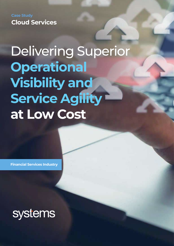**Case Study Cloud Services**

# Delivering Superior **Operational Visibility and Service Agility at Low Cost**

**Financial Services Industry**